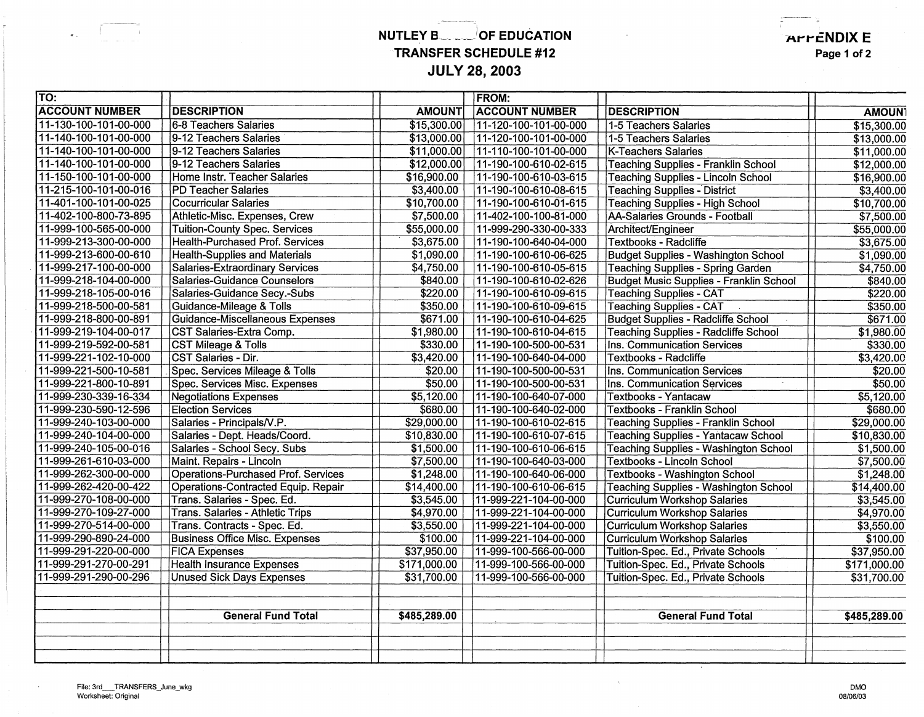## **NUTLEY B.R. ... OF EDUCATION TRANSFER SCHEDULE #12 JULY 28, 2003**

 $\sim$ 

**AFFENDIX E** 

-~--

**Page 1 of 2** 

| TO:                   |                                            |               | <b>FROM:</b>          |                                                |               |
|-----------------------|--------------------------------------------|---------------|-----------------------|------------------------------------------------|---------------|
| <b>ACCOUNT NUMBER</b> | <b>DESCRIPTION</b>                         | <b>AMOUNT</b> | <b>ACCOUNT NUMBER</b> | <b>DESCRIPTION</b>                             | <b>AMOUN1</b> |
| 11-130-100-101-00-000 | 6-8 Teachers Salaries                      | \$15,300.00   | 11-120-100-101-00-000 | 1-5 Teachers Salaries                          | \$15,300.00   |
| 11-140-100-101-00-000 | 9-12 Teachers Salaries                     | \$13,000.00   | 11-120-100-101-00-000 | 1-5 Teachers Salaries                          | \$13,000.00   |
| 11-140-100-101-00-000 | 9-12 Teachers Salaries                     | \$11,000.00   | 11-110-100-101-00-000 | <b>K-Teachers Salaries</b>                     | \$11,000.00   |
| 11-140-100-101-00-000 | 9-12 Teachers Salaries                     | \$12,000.00   | 11-190-100-610-02-615 | <b>Teaching Supplies - Franklin School</b>     | \$12,000.00   |
| 11-150-100-101-00-000 | Home Instr. Teacher Salaries               | \$16,900.00   | 11-190-100-610-03-615 | <b>Teaching Supplies - Lincoln School</b>      | \$16,900.00   |
| 11-215-100-101-00-016 | <b>PD Teacher Salaries</b>                 | \$3,400.00    | 11-190-100-610-08-615 | <b>Teaching Supplies - District</b>            | \$3,400.00    |
| 11-401-100-101-00-025 | <b>Cocurricular Salaries</b>               | \$10,700.00   | 11-190-100-610-01-615 | <b>Teaching Supplies - High School</b>         | \$10,700.00   |
| 11-402-100-800-73-895 | Athletic-Misc. Expenses, Crew              | \$7,500.00    | 11-402-100-100-81-000 | <b>AA-Salaries Grounds - Football</b>          | \$7,500.00    |
| 11-999-100-565-00-000 | <b>Tuition-County Spec. Services</b>       | \$55,000.00   | 11-999-290-330-00-333 | Architect/Engineer                             | \$55,000.00   |
| 11-999-213-300-00-000 | Health-Purchased Prof. Services            | \$3,675.00    | 11-190-100-640-04-000 | <b>Textbooks - Radcliffe</b>                   | \$3,675.00    |
| 11-999-213-600-00-610 | <b>Health-Supplies and Materials</b>       | \$1,090.00    | 11-190-100-610-06-625 | <b>Budget Supplies - Washington School</b>     | \$1,090.00    |
| 11-999-217-100-00-000 | <b>Salaries-Extraordinary Services</b>     | \$4,750.00    | 11-190-100-610-05-615 | <b>Teaching Supplies - Spring Garden</b>       | \$4,750.00    |
| 11-999-218-104-00-000 | Salaries-Guidance Counselors               | \$840.00      | 11-190-100-610-02-626 | <b>Budget Music Supplies - Franklin School</b> | \$840.00      |
| 11-999-218-105-00-016 | Salaries-Guidance Secy.-Subs               | \$220.00      | 11-190-100-610-09-615 | <b>Teaching Supplies - CAT</b>                 | \$220.00      |
| 11-999-218-500-00-581 | Guidance-Mileage & Tolls                   | \$350.00      | 11-190-100-610-09-615 | <b>Teaching Supplies - CAT</b>                 | \$350.00      |
| 11-999-218-800-00-891 | Guidance-Miscellaneous Expenses            | \$671.00      | 11-190-100-610-04-625 | <b>Budget Supplies - Radcliffe School</b>      | \$671.00      |
| 11-999-219-104-00-017 | CST Salaries-Extra Comp.                   | \$1,980.00    | 11-190-100-610-04-615 | <b>Teaching Supplies - Radcliffe School</b>    | \$1,980.00    |
| 11-999-219-592-00-581 | <b>CST Mileage &amp; Tolls</b>             | \$330.00      | 11-190-100-500-00-531 | Ins. Communication Services                    | \$330.00      |
| 11-999-221-102-10-000 | <b>CST Salaries - Dir.</b>                 | \$3,420.00    | 11-190-100-640-04-000 | <b>Textbooks - Radcliffe</b>                   | \$3,420.00    |
| 11-999-221-500-10-581 | Spec. Services Mileage & Tolls             | \$20.00       | 11-190-100-500-00-531 | Ins. Communication Services                    | \$20.00       |
| 11-999-221-800-10-891 | Spec. Services Misc. Expenses              | \$50.00       | 11-190-100-500-00-531 | Ins. Communication Services                    | \$50.00       |
| 11-999-230-339-16-334 | <b>Negotiations Expenses</b>               | \$5,120.00    | 11-190-100-640-07-000 | <b>Textbooks - Yantacaw</b>                    | \$5,120.00    |
| 11-999-230-590-12-596 | <b>Election Services</b>                   | \$680.00      | 11-190-100-640-02-000 | <b>Textbooks - Franklin School</b>             | \$680.00      |
| 11-999-240-103-00-000 | Salaries - Principals/V.P.                 | \$29,000.00   | 11-190-100-610-02-615 | <b>Teaching Supplies - Franklin School</b>     | \$29,000.00   |
| 11-999-240-104-00-000 | Salaries - Dept. Heads/Coord.              | \$10,830.00   | 11-190-100-610-07-615 | <b>Teaching Supplies - Yantacaw School</b>     | \$10,830.00   |
| 11-999-240-105-00-016 | Salaries - School Secy. Subs               | \$1,500.00    | 11-190-100-610-06-615 | <b>Teaching Supplies - Washington School</b>   | \$1,500.00    |
| 11-999-261-610-03-000 | Maint. Repairs - Lincoln                   | \$7,500.00    | 11-190-100-640-03-000 | <b>Textbooks - Lincoln School</b>              | \$7,500.00    |
| 11-999-262-300-00-000 | <b>Operations-Purchased Prof. Services</b> | \$1,248.00    | 11-190-100-640-06-000 | <b>Textbooks - Washington School</b>           | \$1,248.00    |
| 11-999-262-420-00-422 | Operations-Contracted Equip. Repair        | \$14,400.00   | 11-190-100-610-06-615 | <b>Teaching Supplies - Washington School</b>   | \$14,400.00   |
| 11-999-270-108-00-000 | Trans. Salaries - Spec. Ed.                | \$3,545.00    | 11-999-221-104-00-000 | <b>Curriculum Workshop Salaries</b>            | \$3,545.00    |
| 11-999-270-109-27-000 | Trans. Salaries - Athletic Trips           | \$4,970.00    | 11-999-221-104-00-000 | <b>Curriculum Workshop Salaries</b>            | \$4,970.00    |
| 11-999-270-514-00-000 | Trans. Contracts - Spec. Ed.               | \$3,550.00    | 11-999-221-104-00-000 | <b>Curriculum Workshop Salaries</b>            | \$3,550.00    |
| 11-999-290-890-24-000 | <b>Business Office Misc. Expenses</b>      | \$100.00      | 11-999-221-104-00-000 | <b>Curriculum Workshop Salaries</b>            | \$100.00      |
| 11-999-291-220-00-000 | <b>FICA Expenses</b>                       | \$37,950.00   | 11-999-100-566-00-000 | Tuition-Spec. Ed., Private Schools             | \$37,950.00   |
| 11-999-291-270-00-291 | <b>Health Insurance Expenses</b>           | \$171,000.00  | 11-999-100-566-00-000 | Tuition-Spec. Ed., Private Schools             | \$171,000.00  |
| 11-999-291-290-00-296 | <b>Unused Sick Days Expenses</b>           | \$31,700.00   | 11-999-100-566-00-000 | Tuition-Spec. Ed., Private Schools             | \$31,700.00   |
|                       |                                            |               |                       |                                                |               |
|                       | <b>General Fund Total</b>                  | \$485,289.00  |                       | <b>General Fund Total</b>                      | \$485,289.00  |
|                       |                                            |               |                       |                                                |               |
|                       |                                            |               |                       |                                                |               |

 $\hat{\mathbf{x}}$  .